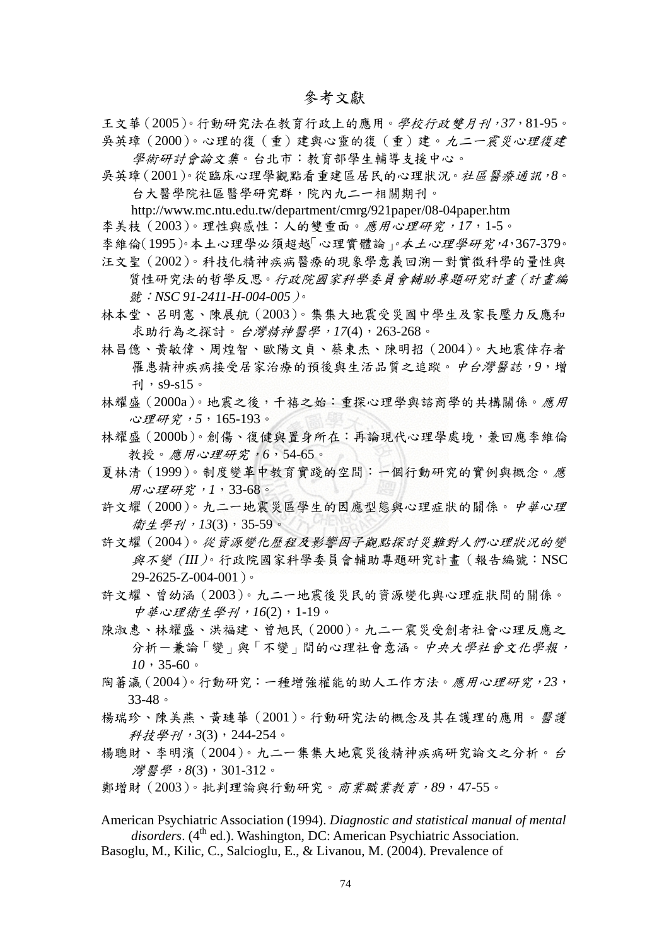王文華(2005)。行動研究法在教育行政上的應用。學校行政雙月刊,*37*,81-95。 吳英璋(2000)。心理的復(重)建與心靈的復(重)建。九二一震災心理復建 學術研討會論文集。台北市:教育部學生輔導支援中心。

吳英璋(2001)。從臨床心理學觀點看重建區居民的心理狀況。社區醫療通訊,*8*。 台大醫學院社區醫學研究群,院內九二一相關期刊。

http://www.mc.ntu.edu.tw/department/cmrg/921paper/08-04paper.htm

- 李美枝(2003)。理性與感性:人的雙重面。應用心理研究,*17*,1-5。
- 李維倫(1995)。本土心理學必須超越「心理實體論」。本土心理學研究,*4*,367-379。 汪文聖(2002)。科技化精神疾病醫療的現象學意義回溯-對實徵科學的量性與 質性研究法的哲學反思。行政院國家科學委員會輔助專題研究計畫(計畫編 號:*NSC 91-2411-H-004-005*)。
- 林本堂、呂明憲、陳展航(2003)。集集大地震受災國中學生及家長壓力反應和 求助行為之探討。台灣精神醫學,*17*(4),263-268。
- 林昌億、黃敏偉、周煌智、歐陽文貞、蔡東杰、陳明招(2004)。大地震倖存者 罹患精神疾病接受居家治療的預後與生活品質之追蹤。中台灣醫誌,*9*,增 刊, $s9-s15$ 。
- 林耀盛(2000a)。地震之後,千禧之始:重探心理學與諮商學的共構關係。應用 心理研究,*5*,165-193。
- 林耀盛(2000b)。創傷、復健與置身所在:再論現代心理學處境,兼回應李維倫 教授。應用心理研究,*6*,54-65。
- 夏林清(1999)。制度變革中教育實踐的空間:一個行動研究的實例與概念。應 用心理研究,*1*,33-68。
- 許文耀(2000)。九二一地震災區學生的因應型態與心理症狀的關係。中華心理 衛生學刊,*13*(3),35-59。
- 許文耀(2004)。從資源變化歷程及影響因子觀點探討災難對人們心理狀況的變 與不變(*III*)。行政院國家科學委員會輔助專題研究計畫(報告編號:NSC  $29 - 2625 - Z - 004 - 001$ )。
- 許文耀、曾幼涵(2003)。九二一地震後災民的資源變化與心理症狀間的關係。 中華心理衛生學刊,*16*(2),1-19。
- 陳淑惠、林耀盛、洪福建、曾旭民(2000)。九二一震災受創者社會心理反應之 分析一兼論「變」與「不變」間的心理社會意涵。中央大學社會文化學報, *10*,35-60。
- 陶蕃瀛(2004)。行動研究:一種增強權能的助人工作方法。應用心理研究,*23*, 33-48。
- 楊瑞珍、陳美燕、黃璉華(2001)。行動研究法的概念及其在護理的應用。醫護 科技學刊,*3*(3),244-254。
- 楊聰財、李明濱(2004)。九二一集集大地震災後精神疾病研究論文之分析。台 *灣醫學*, 8(3), 301-312。
- 鄭增財(2003)。批判理論與行動研究。商業職業教育,*89*,47-55。
- American Psychiatric Association (1994). *Diagnostic and statistical manual of mental disorders*. (4<sup>th</sup> ed.). Washington, DC: American Psychiatric Association.
- Basoglu, M., Kilic, C., Salcioglu, E., & Livanou, M. (2004). Prevalence of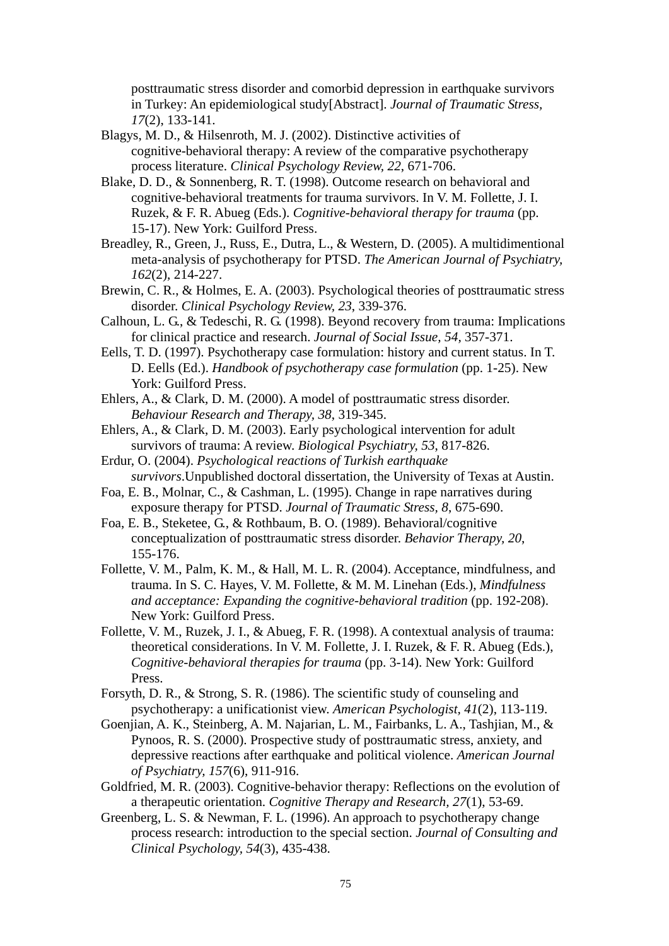posttraumatic stress disorder and comorbid depression in earthquake survivors in Turkey: An epidemiological study[Abstract]. *Journal of Traumatic Stress, 17*(2), 133-141.

- Blagys, M. D., & Hilsenroth, M. J. (2002). Distinctive activities of cognitive-behavioral therapy: A review of the comparative psychotherapy process literature. *Clinical Psychology Review, 22*, 671-706.
- Blake, D. D., & Sonnenberg, R. T. (1998). Outcome research on behavioral and cognitive-behavioral treatments for trauma survivors. In V. M. Follette, J. I. Ruzek, & F. R. Abueg (Eds.). *Cognitive-behavioral therapy for trauma* (pp. 15-17). New York: Guilford Press.
- Breadley, R., Green, J., Russ, E., Dutra, L., & Western, D. (2005). A multidimentional meta-analysis of psychotherapy for PTSD. *The American Journal of Psychiatry, 162*(2), 214-227.
- Brewin, C. R., & Holmes, E. A. (2003). Psychological theories of posttraumatic stress disorder. *Clinical Psychology Review, 23*, 339-376.
- Calhoun, L. G., & Tedeschi, R. G. (1998). Beyond recovery from trauma: Implications for clinical practice and research. *Journal of Social Issue, 54,* 357-371.
- Eells, T. D. (1997). Psychotherapy case formulation: history and current status. In T. D. Eells (Ed.). *Handbook of psychotherapy case formulation* (pp. 1-25). New York: Guilford Press.
- Ehlers, A., & Clark, D. M. (2000). A model of posttraumatic stress disorder. *Behaviour Research and Therapy, 38*, 319-345.
- Ehlers, A., & Clark, D. M. (2003). Early psychological intervention for adult survivors of trauma: A review. *Biological Psychiatry, 53*, 817-826.
- Erdur, O. (2004). *Psychological reactions of Turkish earthquake survivors*.Unpublished doctoral dissertation, the University of Texas at Austin.
- Foa, E. B., Molnar, C., & Cashman, L. (1995). Change in rape narratives during exposure therapy for PTSD. *Journal of Traumatic Stress, 8*, 675-690.
- Foa, E. B., Steketee, G., & Rothbaum, B. O. (1989). Behavioral/cognitive conceptualization of posttraumatic stress disorder. *Behavior Therapy, 20*, 155-176.
- Follette, V. M., Palm, K. M., & Hall, M. L. R. (2004). Acceptance, mindfulness, and trauma. In S. C. Hayes, V. M. Follette, & M. M. Linehan (Eds.), *Mindfulness and acceptance: Expanding the cognitive-behavioral tradition* (pp. 192-208). New York: Guilford Press.
- Follette, V. M., Ruzek, J. I., & Abueg, F. R. (1998). A contextual analysis of trauma: theoretical considerations. In V. M. Follette, J. I. Ruzek, & F. R. Abueg (Eds.), *Cognitive-behavioral therapies for trauma* (pp. 3-14). New York: Guilford Press.
- Forsyth, D. R., & Strong, S. R. (1986). The scientific study of counseling and psychotherapy: a unificationist view. *American Psychologist, 41*(2), 113-119.
- Goenjian, A. K., Steinberg, A. M. Najarian, L. M., Fairbanks, L. A., Tashjian, M., & Pynoos, R. S. (2000). Prospective study of posttraumatic stress, anxiety, and depressive reactions after earthquake and political violence. *American Journal of Psychiatry, 157*(6), 911-916.
- Goldfried, M. R. (2003). Cognitive-behavior therapy: Reflections on the evolution of a therapeutic orientation. *Cognitive Therapy and Research, 27*(1), 53-69.
- Greenberg, L. S. & Newman, F. L. (1996). An approach to psychotherapy change process research: introduction to the special section. *Journal of Consulting and Clinical Psychology, 54*(3), 435-438.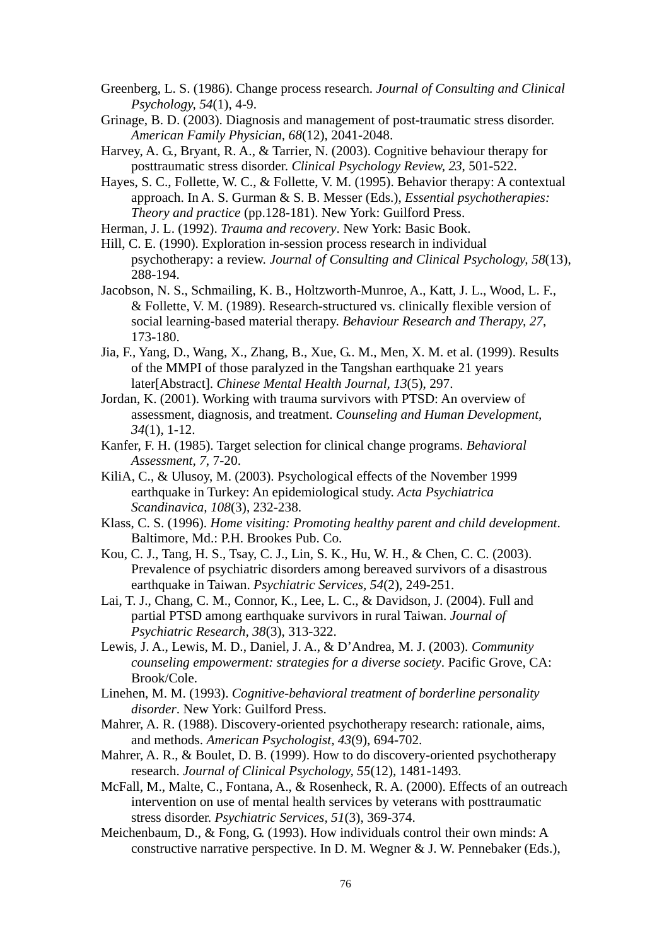- Greenberg, L. S. (1986). Change process research. *Journal of Consulting and Clinical Psychology, 54*(1), 4-9.
- Grinage, B. D. (2003). Diagnosis and management of post-traumatic stress disorder. *American Family Physician, 68*(12), 2041-2048.
- Harvey, A. G., Bryant, R. A., & Tarrier, N. (2003). Cognitive behaviour therapy for posttraumatic stress disorder. *Clinical Psychology Review, 23*, 501-522.

Hayes, S. C., Follette, W. C., & Follette, V. M. (1995). Behavior therapy: A contextual approach. In A. S. Gurman & S. B. Messer (Eds.), *Essential psychotherapies: Theory and practice* (pp.128-181). New York: Guilford Press.

Herman, J. L. (1992). *Trauma and recovery*. New York: Basic Book.

- Hill, C. E. (1990). Exploration in-session process research in individual psychotherapy: a review. *Journal of Consulting and Clinical Psychology, 58*(13), 288-194.
- Jacobson, N. S., Schmailing, K. B., Holtzworth-Munroe, A., Katt, J. L., Wood, L. F., & Follette, V. M. (1989). Research-structured vs. clinically flexible version of social learning-based material therapy. *Behaviour Research and Therapy, 27*, 173-180.
- Jia, F., Yang, D., Wang, X., Zhang, B., Xue, G.. M., Men, X. M. et al. (1999). Results of the MMPI of those paralyzed in the Tangshan earthquake 21 years later[Abstract]. *Chinese Mental Health Journal, 13*(5), 297.
- Jordan, K. (2001). Working with trauma survivors with PTSD: An overview of assessment, diagnosis, and treatment. *Counseling and Human Development, 34*(1), 1-12.
- Kanfer, F. H. (1985). Target selection for clinical change programs. *Behavioral Assessment, 7*, 7-20.
- KiliA, C., & Ulusoy, M. (2003). Psychological effects of the November 1999 earthquake in Turkey: An epidemiological study. *Acta Psychiatrica Scandinavica, 108*(3), 232-238.
- Klass, C. S. (1996). *Home visiting: Promoting healthy parent and child development*. Baltimore, Md.: P.H. Brookes Pub. Co.
- Kou, C. J., Tang, H. S., Tsay, C. J., Lin, S. K., Hu, W. H., & Chen, C. C. (2003). Prevalence of psychiatric disorders among bereaved survivors of a disastrous earthquake in Taiwan. *Psychiatric Services, 54*(2), 249-251.
- Lai, T. J., Chang, C. M., Connor, K., Lee, L. C., & Davidson, J. (2004). Full and partial PTSD among earthquake survivors in rural Taiwan. *Journal of Psychiatric Research, 38*(3), 313-322.
- Lewis, J. A., Lewis, M. D., Daniel, J. A., & D'Andrea, M. J. (2003). *Community counseling empowerment: strategies for a diverse society*. Pacific Grove, CA: Brook/Cole.
- Linehen, M. M. (1993). *Cognitive-behavioral treatment of borderline personality disorder*. New York: Guilford Press.
- Mahrer, A. R. (1988). Discovery-oriented psychotherapy research: rationale, aims, and methods. *American Psychologist, 43*(9), 694-702.
- Mahrer, A. R., & Boulet, D. B. (1999). How to do discovery-oriented psychotherapy research. *Journal of Clinical Psychology, 55*(12), 1481-1493.
- McFall, M., Malte, C., Fontana, A., & Rosenheck, R. A. (2000). Effects of an outreach intervention on use of mental health services by veterans with posttraumatic stress disorder. *Psychiatric Services, 51*(3), 369-374.
- Meichenbaum, D., & Fong, G. (1993). How individuals control their own minds: A constructive narrative perspective. In D. M. Wegner  $& J.$  W. Pennebaker (Eds.),